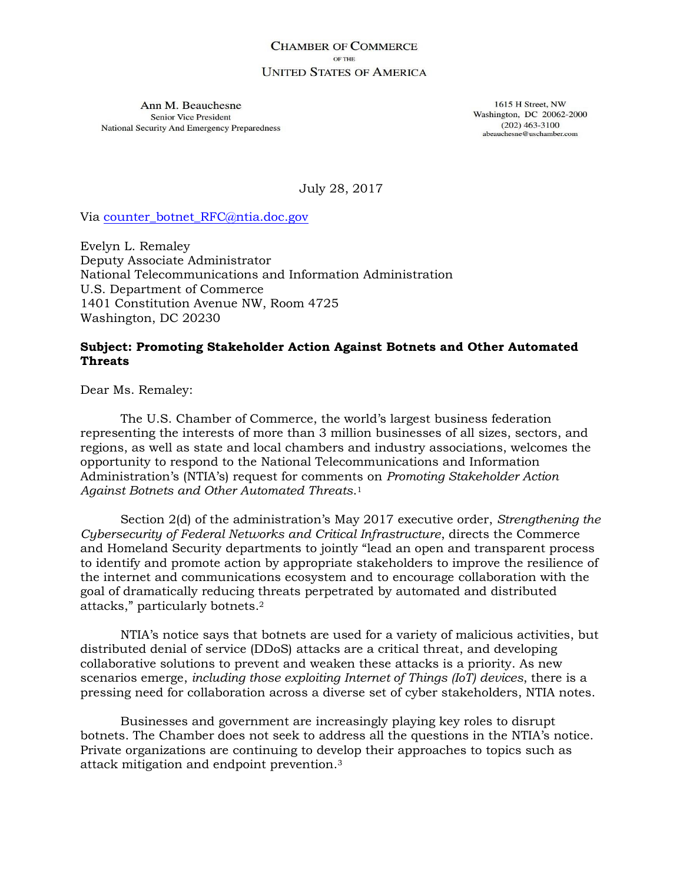#### **CHAMBER OF COMMERCE** OF THE **UNITED STATES OF AMERICA**

Ann M. Beauchesne Senior Vice President National Security And Emergency Preparedness

1615 H Street, NW Washington, DC 20062-2000  $(202)$  463-3100 abeauchesne@uschamber.com

July 28, 2017

Via [counter\\_botnet\\_RFC@ntia.doc.gov](mailto:counter_botnet_RFC@ntia.doc.gov)

Evelyn L. Remaley Deputy Associate Administrator National Telecommunications and Information Administration U.S. Department of Commerce 1401 Constitution Avenue NW, Room 4725 Washington, DC 20230

# **Subject: Promoting Stakeholder Action Against Botnets and Other Automated Threats**

Dear Ms. Remaley:

The U.S. Chamber of Commerce, the world's largest business federation representing the interests of more than 3 million businesses of all sizes, sectors, and regions, as well as state and local chambers and industry associations, welcomes the opportunity to respond to the National Telecommunications and Information Administration's (NTIA's) request for comments on *Promoting Stakeholder Action Against Botnets and Other Automated Threats*. 1

Section 2(d) of the administration's May 2017 executive order, *Strengthening the Cybersecurity of Federal Networks and Critical Infrastructure*, directs the Commerce and Homeland Security departments to jointly "lead an open and transparent process to identify and promote action by appropriate stakeholders to improve the resilience of the internet and communications ecosystem and to encourage collaboration with the goal of dramatically reducing threats perpetrated by automated and distributed attacks," particularly botnets. 2

NTIA's notice says that botnets are used for a variety of malicious activities, but distributed denial of service (DDoS) attacks are a critical threat, and developing collaborative solutions to prevent and weaken these attacks is a priority. As new scenarios emerge, *including those exploiting Internet of Things (IoT) devices*, there is a pressing need for collaboration across a diverse set of cyber stakeholders, NTIA notes.

Businesses and government are increasingly playing key roles to disrupt botnets. The Chamber does not seek to address all the questions in the NTIA's notice. Private organizations are continuing to develop their approaches to topics such as attack mitigation and endpoint prevention.3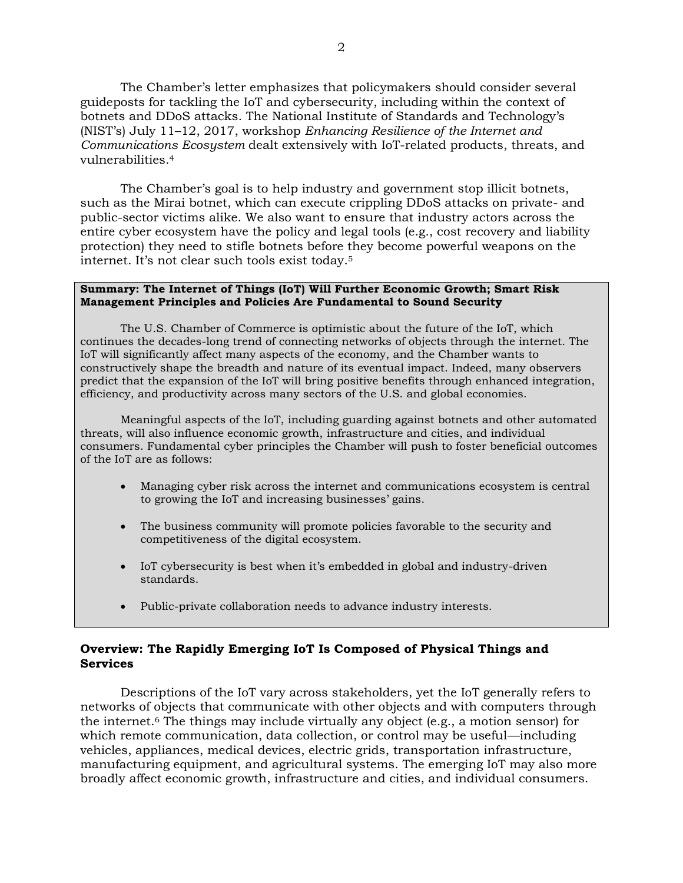The Chamber's letter emphasizes that policymakers should consider several guideposts for tackling the IoT and cybersecurity, including within the context of botnets and DDoS attacks. The National Institute of Standards and Technology's (NIST's) July 11–12, 2017, workshop *Enhancing Resilience of the Internet and Communications Ecosystem* dealt extensively with IoT-related products, threats, and vulnerabilities.<sup>4</sup>

The Chamber's goal is to help industry and government stop illicit botnets, such as the Mirai botnet, which can execute crippling DDoS attacks on private- and public-sector victims alike. We also want to ensure that industry actors across the entire cyber ecosystem have the policy and legal tools (e.g., cost recovery and liability protection) they need to stifle botnets before they become powerful weapons on the internet. It's not clear such tools exist today.<sup>5</sup>

#### **Summary: The Internet of Things (IoT) Will Further Economic Growth; Smart Risk Management Principles and Policies Are Fundamental to Sound Security**

The U.S. Chamber of Commerce is optimistic about the future of the IoT, which continues the decades-long trend of connecting networks of objects through the internet. The IoT will significantly affect many aspects of the economy, and the Chamber wants to constructively shape the breadth and nature of its eventual impact. Indeed, many observers predict that the expansion of the IoT will bring positive benefits through enhanced integration, efficiency, and productivity across many sectors of the U.S. and global economies.

Meaningful aspects of the IoT, including guarding against botnets and other automated threats, will also influence economic growth, infrastructure and cities, and individual consumers. Fundamental cyber principles the Chamber will push to foster beneficial outcomes of the IoT are as follows:

- Managing cyber risk across the internet and communications ecosystem is central to growing the IoT and increasing businesses' gains.
- The business community will promote policies favorable to the security and competitiveness of the digital ecosystem.
- IoT cybersecurity is best when it's embedded in global and industry-driven standards.
- Public-private collaboration needs to advance industry interests.

### **Overview: The Rapidly Emerging IoT Is Composed of Physical Things and Services**

Descriptions of the IoT vary across stakeholders, yet the IoT generally refers to networks of objects that communicate with other objects and with computers through the internet.<sup>6</sup> The things may include virtually any object (e.g., a motion sensor) for which remote communication, data collection, or control may be useful—including vehicles, appliances, medical devices, electric grids, transportation infrastructure, manufacturing equipment, and agricultural systems. The emerging IoT may also more broadly affect economic growth, infrastructure and cities, and individual consumers.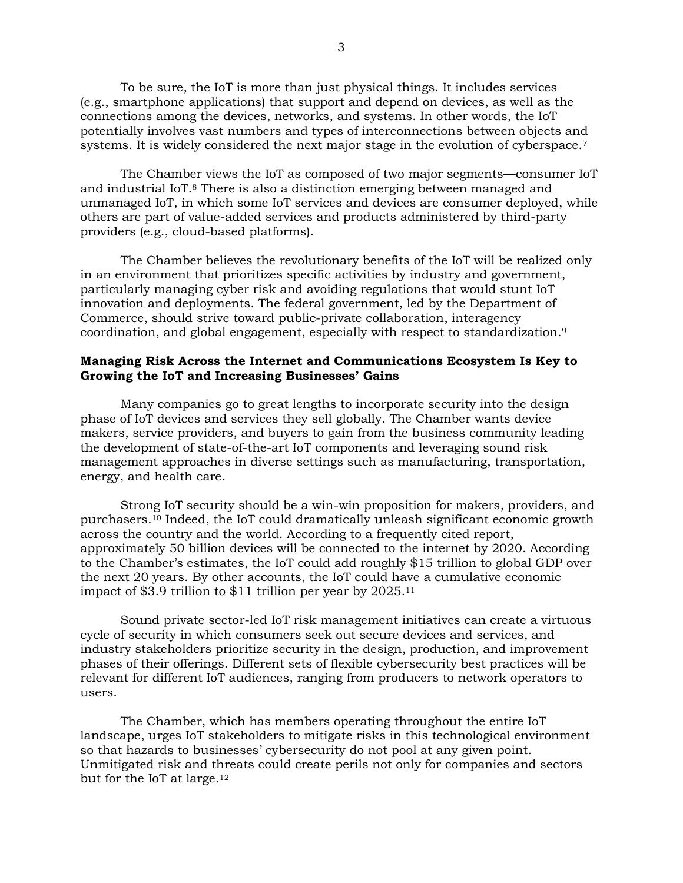To be sure, the IoT is more than just physical things. It includes services (e.g., smartphone applications) that support and depend on devices, as well as the connections among the devices, networks, and systems. In other words, the IoT potentially involves vast numbers and types of interconnections between objects and systems. It is widely considered the next major stage in the evolution of cyberspace.<sup>7</sup>

The Chamber views the IoT as composed of two major segments—consumer IoT and industrial IoT.<sup>8</sup> There is also a distinction emerging between managed and unmanaged IoT, in which some IoT services and devices are consumer deployed, while others are part of value-added services and products administered by third-party providers (e.g., cloud-based platforms).

The Chamber believes the revolutionary benefits of the IoT will be realized only in an environment that prioritizes specific activities by industry and government, particularly managing cyber risk and avoiding regulations that would stunt IoT innovation and deployments. The federal government, led by the Department of Commerce, should strive toward public-private collaboration, interagency coordination, and global engagement, especially with respect to standardization.<sup>9</sup>

### **Managing Risk Across the Internet and Communications Ecosystem Is Key to Growing the IoT and Increasing Businesses' Gains**

Many companies go to great lengths to incorporate security into the design phase of IoT devices and services they sell globally. The Chamber wants device makers, service providers, and buyers to gain from the business community leading the development of state-of-the-art IoT components and leveraging sound risk management approaches in diverse settings such as manufacturing, transportation, energy, and health care.

Strong IoT security should be a win-win proposition for makers, providers, and purchasers.<sup>10</sup> Indeed, the IoT could dramatically unleash significant economic growth across the country and the world. According to a frequently cited report, approximately 50 billion devices will be connected to the internet by 2020. According to the Chamber's estimates, the IoT could add roughly \$15 trillion to global GDP over the next 20 years. By other accounts, the IoT could have a cumulative economic impact of \$3.9 trillion to \$11 trillion per year by 2025.<sup>11</sup>

Sound private sector-led IoT risk management initiatives can create a virtuous cycle of security in which consumers seek out secure devices and services, and industry stakeholders prioritize security in the design, production, and improvement phases of their offerings. Different sets of flexible cybersecurity best practices will be relevant for different IoT audiences, ranging from producers to network operators to users.

The Chamber, which has members operating throughout the entire IoT landscape, urges IoT stakeholders to mitigate risks in this technological environment so that hazards to businesses' cybersecurity do not pool at any given point. Unmitigated risk and threats could create perils not only for companies and sectors but for the IoT at large.12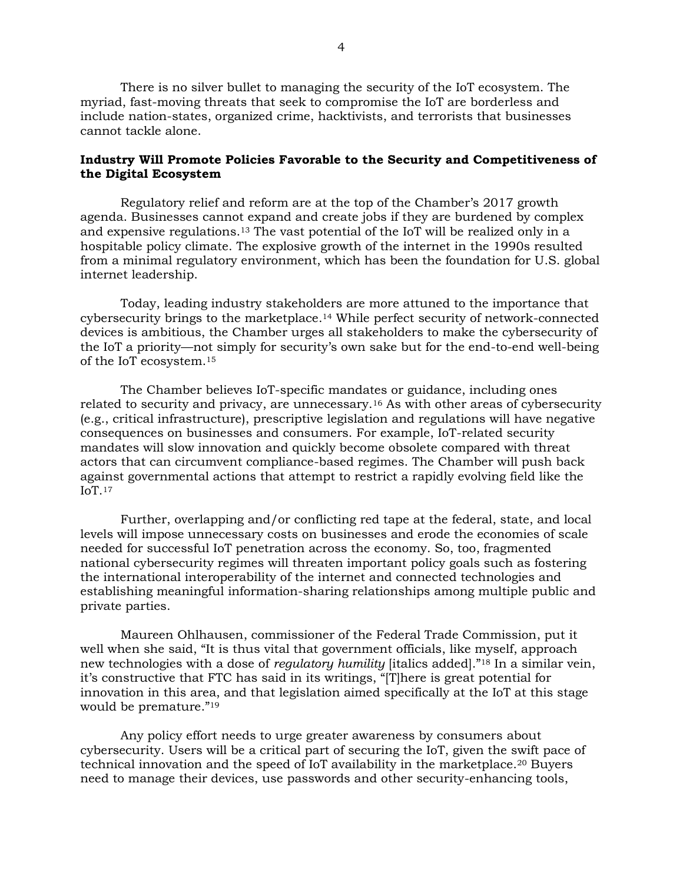There is no silver bullet to managing the security of the IoT ecosystem. The myriad, fast-moving threats that seek to compromise the IoT are borderless and include nation-states, organized crime, hacktivists, and terrorists that businesses cannot tackle alone.

# **Industry Will Promote Policies Favorable to the Security and Competitiveness of the Digital Ecosystem**

Regulatory relief and reform are at the top of the Chamber's 2017 growth agenda. Businesses cannot expand and create jobs if they are burdened by complex and expensive regulations.<sup>13</sup> The vast potential of the IoT will be realized only in a hospitable policy climate. The explosive growth of the internet in the 1990s resulted from a minimal regulatory environment, which has been the foundation for U.S. global internet leadership.

Today, leading industry stakeholders are more attuned to the importance that cybersecurity brings to the marketplace.<sup>14</sup> While perfect security of network-connected devices is ambitious, the Chamber urges all stakeholders to make the cybersecurity of the IoT a priority—not simply for security's own sake but for the end-to-end well-being of the IoT ecosystem.<sup>15</sup>

The Chamber believes IoT-specific mandates or guidance, including ones related to security and privacy, are unnecessary.<sup>16</sup> As with other areas of cybersecurity (e.g., critical infrastructure), prescriptive legislation and regulations will have negative consequences on businesses and consumers. For example, IoT-related security mandates will slow innovation and quickly become obsolete compared with threat actors that can circumvent compliance-based regimes. The Chamber will push back against governmental actions that attempt to restrict a rapidly evolving field like the IoT.<sup>17</sup>

Further, overlapping and/or conflicting red tape at the federal, state, and local levels will impose unnecessary costs on businesses and erode the economies of scale needed for successful IoT penetration across the economy. So, too, fragmented national cybersecurity regimes will threaten important policy goals such as fostering the international interoperability of the internet and connected technologies and establishing meaningful information-sharing relationships among multiple public and private parties.

Maureen Ohlhausen, commissioner of the Federal Trade Commission, put it well when she said, "It is thus vital that government officials, like myself, approach new technologies with a dose of *regulatory humility* [italics added]."<sup>18</sup> In a similar vein, it's constructive that FTC has said in its writings, "[T]here is great potential for innovation in this area, and that legislation aimed specifically at the IoT at this stage would be premature."<sup>19</sup>

Any policy effort needs to urge greater awareness by consumers about cybersecurity. Users will be a critical part of securing the IoT, given the swift pace of technical innovation and the speed of IoT availability in the marketplace.<sup>20</sup> Buyers need to manage their devices, use passwords and other security-enhancing tools,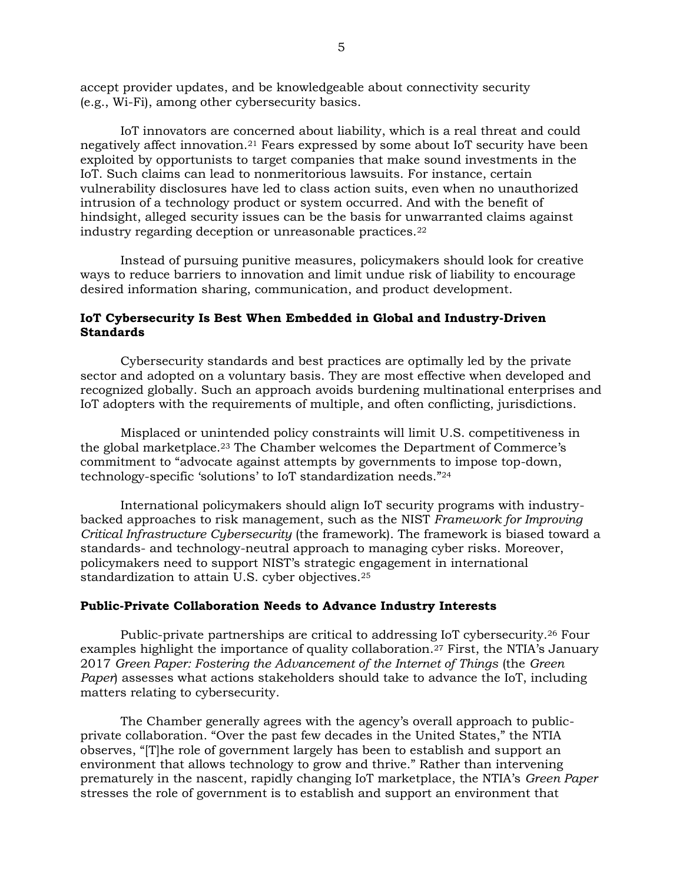accept provider updates, and be knowledgeable about connectivity security (e.g., Wi-Fi), among other cybersecurity basics.

IoT innovators are concerned about liability, which is a real threat and could negatively affect innovation.<sup>21</sup> Fears expressed by some about IoT security have been exploited by opportunists to target companies that make sound investments in the IoT. Such claims can lead to nonmeritorious lawsuits. For instance, certain vulnerability disclosures have led to class action suits, even when no unauthorized intrusion of a technology product or system occurred. And with the benefit of hindsight, alleged security issues can be the basis for unwarranted claims against industry regarding deception or unreasonable practices.<sup>22</sup>

Instead of pursuing punitive measures, policymakers should look for creative ways to reduce barriers to innovation and limit undue risk of liability to encourage desired information sharing, communication, and product development.

#### **IoT Cybersecurity Is Best When Embedded in Global and Industry-Driven Standards**

Cybersecurity standards and best practices are optimally led by the private sector and adopted on a voluntary basis. They are most effective when developed and recognized globally. Such an approach avoids burdening multinational enterprises and IoT adopters with the requirements of multiple, and often conflicting, jurisdictions.

Misplaced or unintended policy constraints will limit U.S. competitiveness in the global marketplace.<sup>23</sup> The Chamber welcomes the Department of Commerce's commitment to "advocate against attempts by governments to impose top-down, technology-specific 'solutions' to IoT standardization needs."<sup>24</sup>

International policymakers should align IoT security programs with industrybacked approaches to risk management, such as the NIST *Framework for Improving Critical Infrastructure Cybersecurity* (the framework). The framework is biased toward a standards- and technology-neutral approach to managing cyber risks. Moreover, policymakers need to support NIST's strategic engagement in international standardization to attain U.S. cyber objectives.<sup>25</sup>

# **Public-Private Collaboration Needs to Advance Industry Interests**

Public-private partnerships are critical to addressing IoT cybersecurity.<sup>26</sup> Four examples highlight the importance of quality collaboration.<sup>27</sup> First, the NTIA's January 2017 *Green Paper: Fostering the Advancement of the Internet of Things* (the *Green Paper*) assesses what actions stakeholders should take to advance the IoT, including matters relating to cybersecurity.

The Chamber generally agrees with the agency's overall approach to publicprivate collaboration. "Over the past few decades in the United States," the NTIA observes, "[T]he role of government largely has been to establish and support an environment that allows technology to grow and thrive." Rather than intervening prematurely in the nascent, rapidly changing IoT marketplace, the NTIA's *Green Paper* stresses the role of government is to establish and support an environment that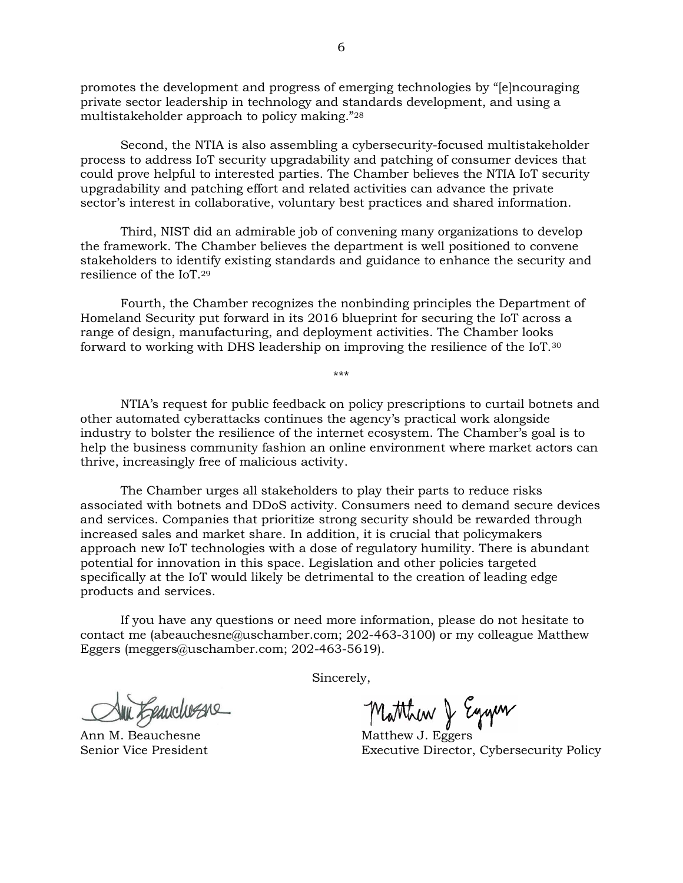promotes the development and progress of emerging technologies by "[e]ncouraging private sector leadership in technology and standards development, and using a multistakeholder approach to policy making."<sup>28</sup>

Second, the NTIA is also assembling a cybersecurity-focused multistakeholder process to address IoT security upgradability and patching of consumer devices that could prove helpful to interested parties. The Chamber believes the NTIA IoT security upgradability and patching effort and related activities can advance the private sector's interest in collaborative, voluntary best practices and shared information.

Third, NIST did an admirable job of convening many organizations to develop the framework. The Chamber believes the department is well positioned to convene stakeholders to identify existing standards and guidance to enhance the security and resilience of the IoT.<sup>29</sup>

Fourth, the Chamber recognizes the nonbinding principles the Department of Homeland Security put forward in its 2016 blueprint for securing the IoT across a range of design, manufacturing, and deployment activities. The Chamber looks forward to working with DHS leadership on improving the resilience of the IoT.<sup>30</sup>

NTIA's request for public feedback on policy prescriptions to curtail botnets and other automated cyberattacks continues the agency's practical work alongside industry to bolster the resilience of the internet ecosystem. The Chamber's goal is to help the business community fashion an online environment where market actors can thrive, increasingly free of malicious activity.

\*\*\*

The Chamber urges all stakeholders to play their parts to reduce risks associated with botnets and DDoS activity. Consumers need to demand secure devices and services. Companies that prioritize strong security should be rewarded through increased sales and market share. In addition, it is crucial that policymakers approach new IoT technologies with a dose of regulatory humility. There is abundant potential for innovation in this space. Legislation and other policies targeted specifically at the IoT would likely be detrimental to the creation of leading edge products and services.

If you have any questions or need more information, please do not hesitate to contact me [\(abeauchesne@uschamber.com;](mailto:abeauchesne@uschamber.com) 202-463-3100) or my colleague Matthew Eggers [\(meggers@uschamber.com;](mailto:meggers@uschamber.com) 202-463-5619).

Sincerely,

Mu Epanchesane

Ann Matthew J. Eggers Matthew J. Eggers

Senior Vice President Executive Director, Cybersecurity Policy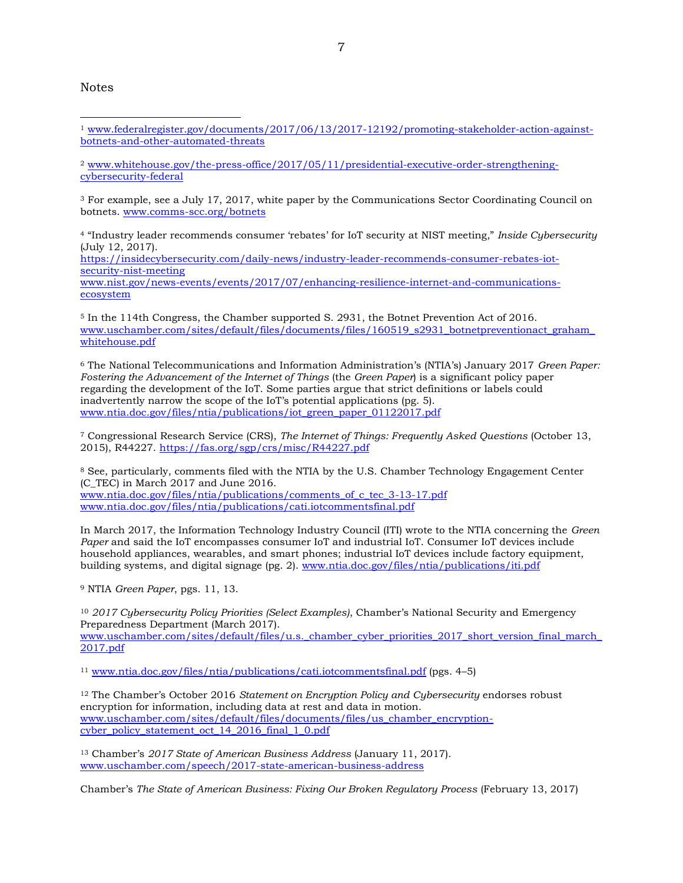**Notes** 

<sup>2</sup> [www.whitehouse.gov/the-press-office/2017/05/11/presidential-executive-order-strengthening](http://www.whitehouse.gov/the-press-office/2017/05/11/presidential-executive-order-strengthening-cybersecurity-federal)[cybersecurity-federal](http://www.whitehouse.gov/the-press-office/2017/05/11/presidential-executive-order-strengthening-cybersecurity-federal)

<sup>3</sup> For example, see a July 17, 2017, white paper by the Communications Sector Coordinating Council on botnets. [www.comms-scc.org/botnets](http://www.comms-scc.org/botnets)

<sup>4</sup> "Industry leader recommends consumer 'rebates' for IoT security at NIST meeting," *Inside Cybersecurity* (July 12, 2017).

[https://insidecybersecurity.com/daily-news/industry-leader-recommends-consumer-rebates-iot](https://insidecybersecurity.com/daily-news/industry-leader-recommends-consumer-rebates-iot-security-nist-meeting)[security-nist-meeting](https://insidecybersecurity.com/daily-news/industry-leader-recommends-consumer-rebates-iot-security-nist-meeting) [www.nist.gov/news-events/events/2017/07/enhancing-resilience-internet-and-communications-](http://www.nist.gov/news-events/events/2017/07/enhancing-resilience-internet-and-communications-ecosystem)

[ecosystem](http://www.nist.gov/news-events/events/2017/07/enhancing-resilience-internet-and-communications-ecosystem)

<sup>5</sup> In the 114th Congress, the Chamber supported S. 2931, the Botnet Prevention Act of 2016. www.uschamber.com/sites/default/files/documents/files/160519\_s2931\_botnetpreventionact\_graham [whitehouse.pdf](http://www.uschamber.com/sites/default/files/documents/files/160519_s2931_botnetpreventionact_graham_whitehouse.pdf)

<sup>6</sup> The National Telecommunications and Information Administration's (NTIA's) January 2017 *Green Paper: Fostering the Advancement of the Internet of Things* (the *Green Paper*) is a significant policy paper regarding the development of the IoT. Some parties argue that strict definitions or labels could inadvertently narrow the scope of the IoT's potential applications (pg. 5). [www.ntia.doc.gov/files/ntia/publications/iot\\_green\\_paper\\_01122017.pdf](http://www.ntia.doc.gov/files/ntia/publications/iot_green_paper_01122017.pdf)

<sup>7</sup> Congressional Research Service (CRS), *The Internet of Things: Frequently Asked Questions* (October 13, 2015), R44227.<https://fas.org/sgp/crs/misc/R44227.pdf>

<sup>8</sup> See, particularly, comments filed with the NTIA by the U.S. Chamber Technology Engagement Center (C\_TEC) in March 2017 and June 2016. [www.ntia.doc.gov/files/ntia/publications/comments\\_of\\_c\\_tec\\_3-13-17.pdf](http://www.ntia.doc.gov/files/ntia/publications/comments_of_c_tec_3-13-17.pdf) [www.ntia.doc.gov/files/ntia/publications/cati.iotcommentsfinal.pdf](http://www.ntia.doc.gov/files/ntia/publications/cati.iotcommentsfinal.pdf)

In March 2017, the Information Technology Industry Council (ITI) wrote to the NTIA concerning the *Green Paper* and said the IoT encompasses consumer IoT and industrial IoT. Consumer IoT devices include household appliances, wearables, and smart phones; industrial IoT devices include factory equipment, building systems, and digital signage (pg. 2). [www.ntia.doc.gov/files/ntia/publications/iti.pdf](http://www.ntia.doc.gov/files/ntia/publications/iti.pdf)

<sup>9</sup> NTIA *Green Paper*, pgs. 11, 13.

[2017.pdf](http://www.uschamber.com/sites/default/files/u.s._chamber_cyber_priorities_2017_short_version_final_march_2017.pdf)

<sup>10</sup> *2017 Cybersecurity Policy Priorities (Select Examples)*, Chamber's National Security and Emergency Preparedness Department (March 2017). [www.uschamber.com/sites/default/files/u.s.\\_chamber\\_cyber\\_priorities\\_2017\\_short\\_version\\_final\\_march\\_](http://www.uschamber.com/sites/default/files/u.s._chamber_cyber_priorities_2017_short_version_final_march_2017.pdf)

<sup>11</sup> [www.ntia.doc.gov/files/ntia/publications/cati.iotcommentsfinal.pdf](http://www.ntia.doc.gov/files/ntia/publications/cati.iotcommentsfinal.pdf) (pgs. 4–5)

<sup>12</sup> The Chamber's October 2016 *Statement on Encryption Policy and Cybersecurity* endorses robust encryption for information, including data at rest and data in motion. [www.uschamber.com/sites/default/files/documents/files/us\\_chamber\\_encryption](http://www.uschamber.com/sites/default/files/documents/files/us_chamber_encryption-cyber_policy_statement_oct_14_2016_final_1_0.pdf)[cyber\\_policy\\_statement\\_oct\\_14\\_2016\\_final\\_1\\_0.pdf](http://www.uschamber.com/sites/default/files/documents/files/us_chamber_encryption-cyber_policy_statement_oct_14_2016_final_1_0.pdf)

<sup>13</sup> Chamber's *2017 State of American Business Address* (January 11, 2017). [www.uschamber.com/speech/2017-state-american-business-address](http://www.uschamber.com/speech/2017-state-american-business-address)

Chamber's *The State of American Business: Fixing Our Broken Regulatory Process* (February 13, 2017)

<sup>-</sup><sup>1</sup> [www.federalregister.gov/documents/2017/06/13/2017-12192/promoting-stakeholder-action-against](http://www.federalregister.gov/documents/2017/06/13/2017-12192/promoting-stakeholder-action-against-botnets-and-other-automated-threats)[botnets-and-other-automated-threats](http://www.federalregister.gov/documents/2017/06/13/2017-12192/promoting-stakeholder-action-against-botnets-and-other-automated-threats)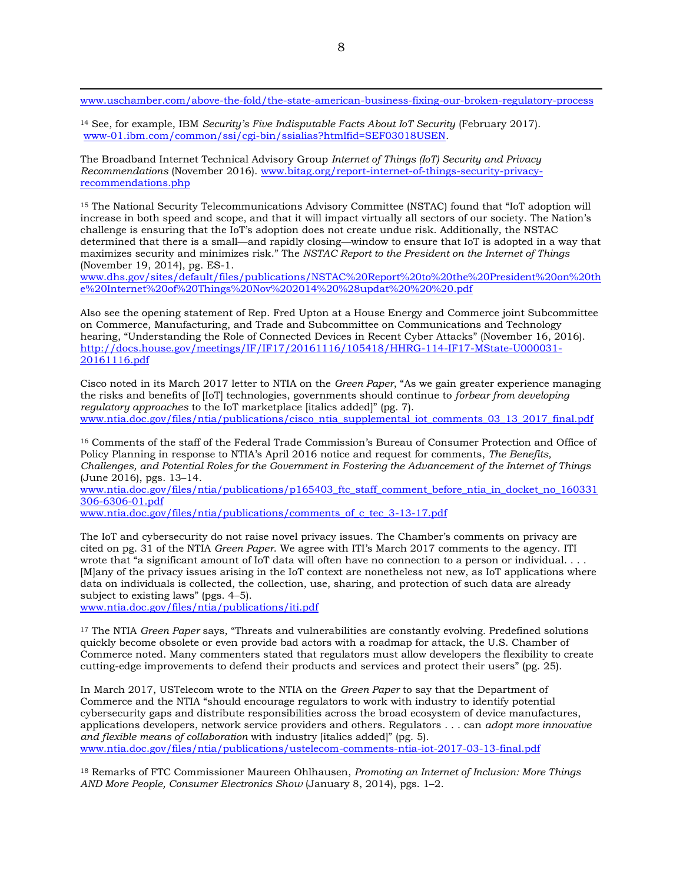[www.uschamber.com/above-the-fold/the-state-american-business-fixing-our-broken-regulatory-process](http://www.uschamber.com/above-the-fold/the-state-american-business-fixing-our-broken-regulatory-process)

<sup>14</sup> See, for example, IBM *Security's Five Indisputable Facts About IoT Security* (February 2017). [www-01.ibm.com/common/ssi/cgi-bin/ssialias?htmlfid=SEF03018USEN.](https://www-01.ibm.com/common/ssi/cgi-bin/ssialias?htmlfid=SEF03018USEN)

The Broadband Internet Technical Advisory Group *Internet of Things (IoT) Security and Privacy Recommendations* (November 2016). [www.bitag.org/report-internet-of-things-security-privacy](http://www.bitag.org/report-internet-of-things-security-privacy-recommendations.php)[recommendations.php](http://www.bitag.org/report-internet-of-things-security-privacy-recommendations.php)

<sup>15</sup> The National Security Telecommunications Advisory Committee (NSTAC) found that "IoT adoption will increase in both speed and scope, and that it will impact virtually all sectors of our society. The Nation's challenge is ensuring that the IoT's adoption does not create undue risk. Additionally, the NSTAC determined that there is a small—and rapidly closing—window to ensure that IoT is adopted in a way that maximizes security and minimizes risk." The *NSTAC Report to the President on the Internet of Things* (November 19, 2014), pg. ES-1.

[www.dhs.gov/sites/default/files/publications/NSTAC%20Report%20to%20the%20President%20on%20th](http://www.dhs.gov/sites/default/files/publications/NSTAC%20Report%20to%20the%20President%20on%20the%20Internet%20of%20Things%20Nov%202014%20%28updat%20%20%20.pdf) [e%20Internet%20of%20Things%20Nov%202014%20%28updat%20%20%20.pdf](http://www.dhs.gov/sites/default/files/publications/NSTAC%20Report%20to%20the%20President%20on%20the%20Internet%20of%20Things%20Nov%202014%20%28updat%20%20%20.pdf)

Also see the opening statement of Rep. Fred Upton at a House Energy and Commerce joint Subcommittee on Commerce, Manufacturing, and Trade and Subcommittee on Communications and Technology hearing, "Understanding the Role of Connected Devices in Recent Cyber Attacks" (November 16, 2016). [http://docs.house.gov/meetings/IF/IF17/20161116/105418/HHRG-114-IF17-MState-U000031-](http://docs.house.gov/meetings/IF/IF17/20161116/105418/HHRG-114-IF17-MState-U000031-20161116.pdf) [20161116.pdf](http://docs.house.gov/meetings/IF/IF17/20161116/105418/HHRG-114-IF17-MState-U000031-20161116.pdf)

Cisco noted in its March 2017 letter to NTIA on the *Green Paper*, "As we gain greater experience managing the risks and benefits of [IoT] technologies, governments should continue to *forbear from developing regulatory approaches* to the IoT marketplace [italics added]" (pg. 7). [www.ntia.doc.gov/files/ntia/publications/cisco\\_ntia\\_supplemental\\_iot\\_comments\\_03\\_13\\_2017\\_final.pdf](http://www.ntia.doc.gov/files/ntia/publications/cisco_ntia_supplemental_iot_comments_03_13_2017_final.pdf)

<sup>16</sup> Comments of the staff of the Federal Trade Commission's Bureau of Consumer Protection and Office of Policy Planning in response to NTIA's April 2016 notice and request for comments, *The Benefits, Challenges, and Potential Roles for the Government in Fostering the Advancement of the Internet of Things* (June 2016), pgs. 13–14.

www.ntia.doc.gov/files/ntia/publications/p165403 ftc\_staff\_comment\_before\_ntia\_in\_docket\_no\_160331 [306-6306-01.pdf](http://www.ntia.doc.gov/files/ntia/publications/p165403_ftc_staff_comment_before_ntia_in_docket_no_160331306-6306-01.pdf)

[www.ntia.doc.gov/files/ntia/publications/comments\\_of\\_c\\_tec\\_3-13-17.pdf](http://www.ntia.doc.gov/files/ntia/publications/comments_of_c_tec_3-13-17.pdf)

The IoT and cybersecurity do not raise novel privacy issues. The Chamber's comments on privacy are cited on pg. 31 of the NTIA *Green Paper*. We agree with ITI's March 2017 comments to the agency. ITI wrote that "a significant amount of IoT data will often have no connection to a person or individual. . . . [M]any of the privacy issues arising in the IoT context are nonetheless not new, as IoT applications where data on individuals is collected, the collection, use, sharing, and protection of such data are already subject to existing laws" (pgs. 4–5).

[www.ntia.doc.gov/files/ntia/publications/iti.pdf](http://www.ntia.doc.gov/files/ntia/publications/iti.pdf)

 $\overline{a}$ 

<sup>17</sup> The NTIA *Green Paper* says, "Threats and vulnerabilities are constantly evolving. Predefined solutions quickly become obsolete or even provide bad actors with a roadmap for attack, the U.S. Chamber of Commerce noted. Many commenters stated that regulators must allow developers the flexibility to create cutting-edge improvements to defend their products and services and protect their users" (pg. 25).

In March 2017, USTelecom wrote to the NTIA on the *Green Paper* to say that the Department of Commerce and the NTIA "should encourage regulators to work with industry to identify potential cybersecurity gaps and distribute responsibilities across the broad ecosystem of device manufactures, applications developers, network service providers and others. Regulators . . . can *adopt more innovative and flexible means of collaboration* with industry [italics added]" (pg. 5). [www.ntia.doc.gov/files/ntia/publications/ustelecom-comments-ntia-iot-2017-03-13-final.pdf](http://www.ntia.doc.gov/files/ntia/publications/ustelecom-comments-ntia-iot-2017-03-13-final.pdf)

<sup>18</sup> Remarks of FTC Commissioner Maureen Ohlhausen, *Promoting an Internet of Inclusion: More Things AND More People, Consumer Electronics Show* (January 8, 2014), pgs. 1–2.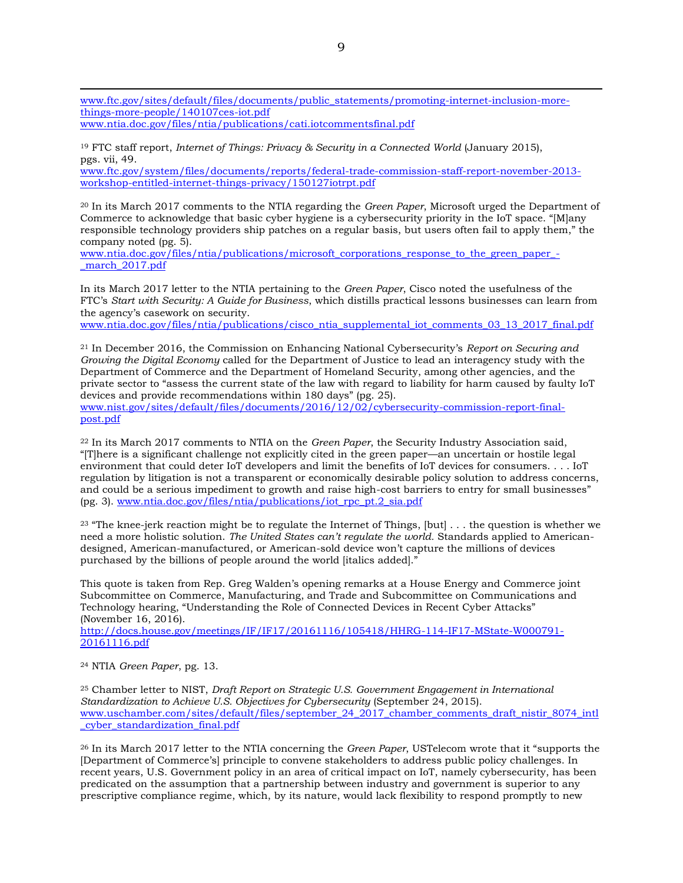[www.ftc.gov/sites/default/files/documents/public\\_statements/promoting-internet-inclusion-more](http://www.ftc.gov/sites/default/files/documents/public_statements/promoting-internet-inclusion-more-things-more-people/140107ces-iot.pdf)[things-more-people/140107ces-iot.pdf](http://www.ftc.gov/sites/default/files/documents/public_statements/promoting-internet-inclusion-more-things-more-people/140107ces-iot.pdf) [www.ntia.doc.gov/files/ntia/publications/cati.iotcommentsfinal.pdf](http://www.ntia.doc.gov/files/ntia/publications/cati.iotcommentsfinal.pdf)

<sup>19</sup> FTC staff report, *Internet of Things: Privacy & Security in a Connected World* (January 2015), pgs. vii, 49.

[www.ftc.gov/system/files/documents/reports/federal-trade-commission-staff-report-november-2013](http://www.ftc.gov/system/files/documents/reports/federal-trade-commission-staff-report-november-2013-workshop-entitled-internet-things-privacy/150127iotrpt.pdf) [workshop-entitled-internet-things-privacy/150127iotrpt.pdf](http://www.ftc.gov/system/files/documents/reports/federal-trade-commission-staff-report-november-2013-workshop-entitled-internet-things-privacy/150127iotrpt.pdf)

<sup>20</sup> In its March 2017 comments to the NTIA regarding the *Green Paper*, Microsoft urged the Department of Commerce to acknowledge that basic cyber hygiene is a cybersecurity priority in the IoT space. "[M]any responsible technology providers ship patches on a regular basis, but users often fail to apply them," the company noted (pg. 5).

[www.ntia.doc.gov/files/ntia/publications/microsoft\\_corporations\\_response\\_to\\_the\\_green\\_paper\\_](http://www.ntia.doc.gov/files/ntia/publications/microsoft_corporations_response_to_the_green_paper_-_march_2017.pdf) march 2017.pdf

In its March 2017 letter to the NTIA pertaining to the *Green Paper*, Cisco noted the usefulness of the FTC's *Start with Security: A Guide for Business*, which distills practical lessons businesses can learn from the agency's casework on security.

[www.ntia.doc.gov/files/ntia/publications/cisco\\_ntia\\_supplemental\\_iot\\_comments\\_03\\_13\\_2017\\_final.pdf](http://www.ntia.doc.gov/files/ntia/publications/cisco_ntia_supplemental_iot_comments_03_13_2017_final.pdf)

<sup>21</sup> In December 2016, the Commission on Enhancing National Cybersecurity's *Report on Securing and Growing the Digital Economy* called for the Department of Justice to lead an interagency study with the Department of Commerce and the Department of Homeland Security, among other agencies, and the private sector to "assess the current state of the law with regard to liability for harm caused by faulty IoT devices and provide recommendations within 180 days" (pg. 25). [www.nist.gov/sites/default/files/documents/2016/12/02/cybersecurity-commission-report-final-](http://www.nist.gov/sites/default/files/documents/2016/12/02/cybersecurity-commission-report-final-post.pdf)

[post.pdf](http://www.nist.gov/sites/default/files/documents/2016/12/02/cybersecurity-commission-report-final-post.pdf)

<sup>22</sup> In its March 2017 comments to NTIA on the *Green Paper*, the Security Industry Association said, "[T]here is a significant challenge not explicitly cited in the green paper—an uncertain or hostile legal environment that could deter IoT developers and limit the benefits of IoT devices for consumers. . . . IoT regulation by litigation is not a transparent or economically desirable policy solution to address concerns, and could be a serious impediment to growth and raise high-cost barriers to entry for small businesses" (pg. 3). [www.ntia.doc.gov/files/ntia/publications/iot\\_rpc\\_pt.2\\_sia.pdf](http://www.ntia.doc.gov/files/ntia/publications/iot_rpc_pt.2_sia.pdf)

<sup>23</sup> "The knee-jerk reaction might be to regulate the Internet of Things, [but] . . . the question is whether we need a more holistic solution. *The United States can't regulate the world.* Standards applied to Americandesigned, American-manufactured, or American-sold device won't capture the millions of devices purchased by the billions of people around the world [italics added]."

This quote is taken from Rep. Greg Walden's opening remarks at a House Energy and Commerce joint Subcommittee on Commerce, Manufacturing, and Trade and Subcommittee on Communications and Technology hearing, "Understanding the Role of Connected Devices in Recent Cyber Attacks" (November 16, 2016).

[http://docs.house.gov/meetings/IF/IF17/20161116/105418/HHRG-114-IF17-MState-W000791-](http://docs.house.gov/meetings/IF/IF17/20161116/105418/HHRG-114-IF17-MState-W000791-20161116.pdf) [20161116.pdf](http://docs.house.gov/meetings/IF/IF17/20161116/105418/HHRG-114-IF17-MState-W000791-20161116.pdf)

<sup>24</sup> NTIA *Green Paper*, pg. 13.

 $\overline{a}$ 

<sup>25</sup> Chamber letter to NIST, *Draft Report on Strategic U.S. Government Engagement in International Standardization to Achieve U.S. Objectives for Cybersecurity* (September 24, 2015). [www.uschamber.com/sites/default/files/september\\_24\\_2017\\_chamber\\_comments\\_draft\\_nistir\\_8074\\_intl](http://www.uschamber.com/sites/default/files/september_24_2017_chamber_comments_draft_nistir_8074_intl_cyber_standardization_final.pdf) [\\_cyber\\_standardization\\_final.pdf](http://www.uschamber.com/sites/default/files/september_24_2017_chamber_comments_draft_nistir_8074_intl_cyber_standardization_final.pdf)

<sup>26</sup> In its March 2017 letter to the NTIA concerning the *Green Paper*, USTelecom wrote that it "supports the [Department of Commerce's] principle to convene stakeholders to address public policy challenges. In recent years, U.S. Government policy in an area of critical impact on IoT, namely cybersecurity, has been predicated on the assumption that a partnership between industry and government is superior to any prescriptive compliance regime, which, by its nature, would lack flexibility to respond promptly to new